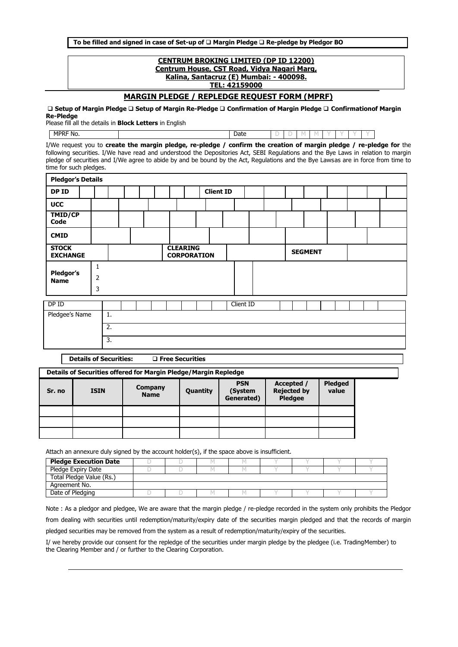**To be filled and signed in case of Set-up of Margin Pledge Re-pledge by Pledgor BO**

## **CENTRUM BROKING LIMITED (DP ID 12200) Centrum House, CST Road, Vidya Nagari Marg, Kalina, Santacruz (E) Mumbai: - 400098. TEL: 42159000**

**MARGIN PLEDGE / REPLEDGE REQUEST FORM (MPRF)**

 **Setup of Margin Pledge Setup of Margin Re-Pledge Confirmation of Margin Pledge Confirmationof Margin Re-Pledge**

Please fill all the details in **Block Letters** in English

**MPRF No.**  $\qquad$  **|**  $\qquad$  **|**  $\qquad$  **|**  $\qquad$  **|**  $\qquad$  **|**  $\qquad$  **|**  $\qquad$  **|**  $\qquad$  **|**  $\qquad$  **|**  $\qquad$  **|**  $\qquad$  **|**  $\qquad$  **|**  $\qquad$  **|**  $\qquad$  **|**  $\qquad$  **|**  $\qquad$  **|**  $\qquad$  **|**  $\qquad$  **|**  $\qquad$  **|**  $\qquad$  **|**  $\qquad$  **|**  $\qquad$  **|**  $\qquad$  **|**  $\qquad$  **|**  $\qquad$  **|**  $\qquad$  **| \q** 

I/We request you to **create the margin pledge, re-pledge / confirm the creation of margin pledge / re-pledge for** the following securities. I/We have read and understood the Depositories Act, SEBI Regulations and the Bye Laws in relation to margin pledge of securities and I/We agree to abide by and be bound by the Act, Regulations and the Bye Lawsas are in force from time to time for such pledges.

| <b>Pledgor's Details</b>        |                                     |                  |  |  |                                       |  |                  |           |  |  |                |  |  |  |
|---------------------------------|-------------------------------------|------------------|--|--|---------------------------------------|--|------------------|-----------|--|--|----------------|--|--|--|
| DP ID                           |                                     |                  |  |  |                                       |  | <b>Client ID</b> |           |  |  |                |  |  |  |
| <b>UCC</b>                      |                                     |                  |  |  |                                       |  |                  |           |  |  |                |  |  |  |
| TMID/CP<br>Code                 |                                     |                  |  |  |                                       |  |                  |           |  |  |                |  |  |  |
| <b>CMID</b>                     |                                     |                  |  |  |                                       |  |                  |           |  |  |                |  |  |  |
| <b>STOCK</b><br><b>EXCHANGE</b> |                                     |                  |  |  | <b>CLEARING</b><br><b>CORPORATION</b> |  |                  |           |  |  | <b>SEGMENT</b> |  |  |  |
| Pledgor's<br><b>Name</b>        | $\mathbf{1}$<br>$\overline{2}$<br>3 |                  |  |  |                                       |  |                  |           |  |  |                |  |  |  |
| DP ID                           |                                     |                  |  |  |                                       |  |                  | Client ID |  |  |                |  |  |  |
| Pledgee's Name                  |                                     | $\overline{1}$ . |  |  |                                       |  |                  |           |  |  |                |  |  |  |
|                                 |                                     | $\overline{2}$ . |  |  |                                       |  |                  |           |  |  |                |  |  |  |
|                                 |                                     | 3.               |  |  |                                       |  |                  |           |  |  |                |  |  |  |

**Details of Securities: Free Securities**

| Details of Securities offered for Margin Pledge/Margin Repledge |             |                        |          |                                     |                                                    |                         |  |  |  |  |  |
|-----------------------------------------------------------------|-------------|------------------------|----------|-------------------------------------|----------------------------------------------------|-------------------------|--|--|--|--|--|
| Sr. no                                                          | <b>ISIN</b> | Company<br><b>Name</b> | Quantity | <b>PSN</b><br>(System<br>Generated) | Accepted /<br><b>Rejected by</b><br><b>Pledgee</b> | <b>Pledged</b><br>value |  |  |  |  |  |
|                                                                 |             |                        |          |                                     |                                                    |                         |  |  |  |  |  |
|                                                                 |             |                        |          |                                     |                                                    |                         |  |  |  |  |  |
|                                                                 |             |                        |          |                                     |                                                    |                         |  |  |  |  |  |

Attach an annexure duly signed by the account holder(s), if the space above is insufficient.

| <b>Pledge Execution Date</b> |  |  |  |  |
|------------------------------|--|--|--|--|
| Pledge Expiry Date           |  |  |  |  |
| Total Pledge Value (Rs.)     |  |  |  |  |
| Agreement No.                |  |  |  |  |
| Date of Pledging             |  |  |  |  |

Note : As a pledgor and pledgee, We are aware that the margin pledge / re-pledge recorded in the system only prohibits the Pledgor from dealing with securities until redemption/maturity/expiry date of the securities margin pledged and that the records of margin pledged securities may be removed from the system as a result of redemption/maturity/expiry of the securities.

I/ we hereby provide our consent for the repledge of the securities under margin pledge by the pledgee (i.e. TradingMember) to the Clearing Member and / or further to the Clearing Corporation.